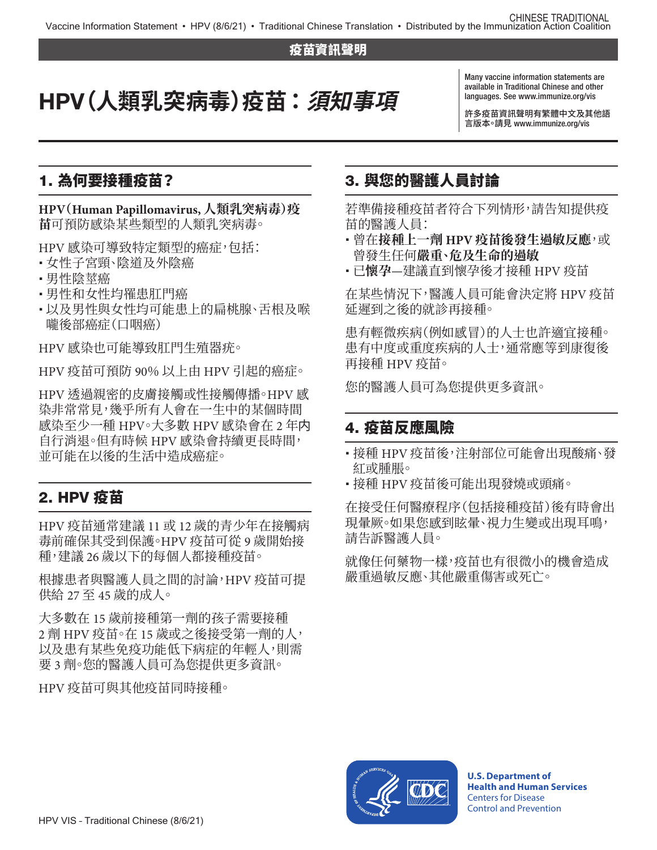#### 疫苗資訊聲明

# HPV**(人類乳突病毒)疫苗 :須知事項**

Many vaccine information statements are available in Traditional Chinese and other languages. See [www.immunize.org/vis](http://www.immunize.org/vis)

許多疫苗資訊聲明有繁體中文及其他語 http://www.immunize.org/vis

#### 1. 為何要接種疫苗?

**HPV(Human Papillomavirus, 人類乳突病毒)疫 苗**可預防感染某些類型的人類乳突病毒。

HPV 感染可導致特定類型的癌症,包括:

- 女性子宮頸、陰道及外陰癌
- 男性陰莖癌
- 男性和女性均罹患肛門癌
- •以及男性與女性均可能患上的扁桃腺、舌根及喉 嚨後部癌症(口咽癌)

HPV 感染也可能導致肛門生殖器疣。

HPV 疫苗可預防 90% 以上由 HPV 引起的癌症。

HPV 透過親密的皮膚接觸或性接觸傳播。HPV 感 染非常常見,幾乎所有人會在一生中的某個時間 感染至少一種 HPV。大多數 HPV 感染會在 2 年内 自行消退。但有時候 HPV 感染會持續更長時間, 並可能在以後的生活中造成癌症。

# 2. HPV 疫苗

HPV 疫苗通常建議 11 或 12 歲的青少年在接觸病 毒前確保其受到保護。HPV 疫苗可從 9 歲開始接 種,建議 26 歲以下的每個人都接種疫苗。

根據患者與醫護人員之間的討論,HPV 疫苗可提 供給 27 至 45 歲的成人。

大多數在 15 歲前接種第一劑的孩子需要接種 2 劑 HPV 疫苗。在 15 歲或之後接受第一劑的人, 以及患有某些免疫功能低下病症的年輕人,則需 要 3 劑。您的醫護人員可為您提供更多資訊。

HPV 疫苗可與其他疫苗同時接種。

### 3. 與您的醫護人員討論

若準備接種疫苗者符合下列情形,請告知提供疫 苗的醫護人員:

- 曾在**接種上一劑 HPV 疫苗後發生過敏反應**,或 曾發生任何**嚴重、危及生命的過敏**
- 已**懷孕**—建議直到懷孕後才接種 HPV 疫苗

在某些情況下,醫護人員可能會決定將 HPV 疫苗 延遲到之後的就診再接種。

患有輕微疾病(例如感冒)的人士也許適宜接種。 患有中度或重度疾病的人士,通常應等到康復後 再接種 HPV 疫苗。

您的醫護人員可為您提供更多資訊。

#### 4. 疫苗反應風險

- 接種 HPV 疫苗後,注射部位可能會出現酸痛、發 紅或腫脹。
- 接種 HPV 疫苗後可能出現發燒或頭痛。

在接受任何醫療程序(包括接種疫苗)後有時會出 現量厥。如果您感到眩暈、視力生變或出現耳鳴, 請告訴醫護人員。

就像任何藥物一樣,疫苗也有很微小的機會造成 嚴重過敏反應、其他嚴重傷害或死亡。



**U.S. Department of Health and Human Services**  Centers for Disease Control and Prevention